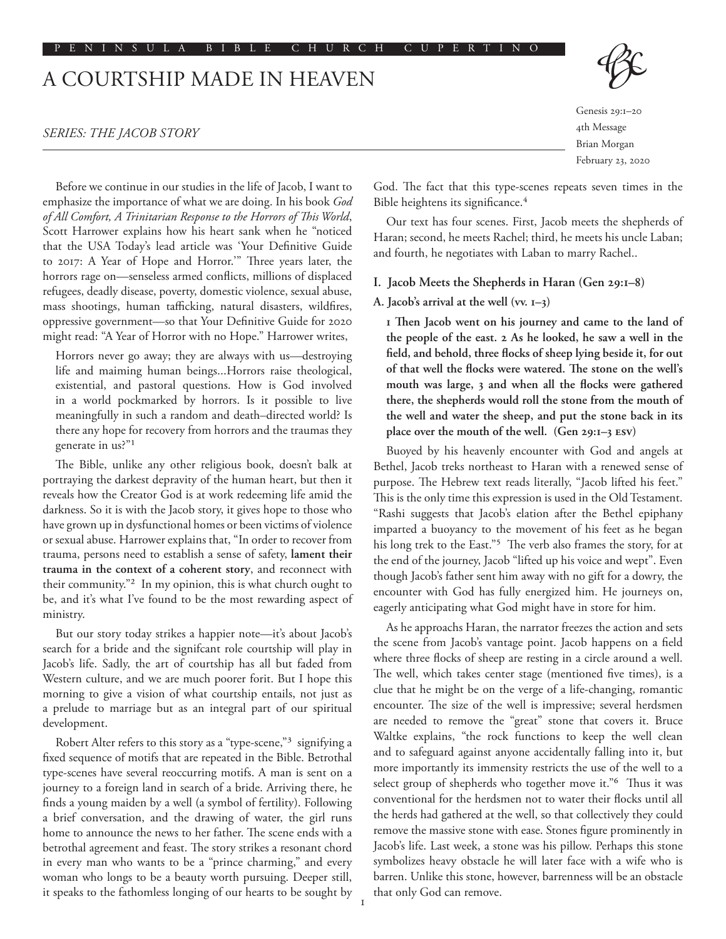#### PENINSULA BIBLE CHURCH CUPERTINO

# A COURTSHIP MADE IN HEAVEN

## *SERIES: THE JACOB STORY*

Before we continue in our studies in the life of Jacob, I want to emphasize the importance of what we are doing. In his book *God of All Comfort, A Trinitarian Response to the Horrors of This World*, Scott Harrower explains how his heart sank when he "noticed that the USA Today's lead article was 'Your Definitive Guide to 2017: A Year of Hope and Horror.'" Three years later, the horrors rage on—senseless armed conflicts, millions of displaced refugees, deadly disease, poverty, domestic violence, sexual abuse, mass shootings, human tafficking, natural disasters, wildfires, oppressive government—so that Your Definitive Guide for 2020 might read: "A Year of Horror with no Hope." Harrower writes,

Horrors never go away; they are always with us—destroying life and maiming human beings...Horrors raise theological, existential, and pastoral questions. How is God involved in a world pockmarked by horrors. Is it possible to live meaningfully in such a random and death–directed world? Is there any hope for recovery from horrors and the traumas they generate in us?"1

The Bible, unlike any other religious book, doesn't balk at portraying the darkest depravity of the human heart, but then it reveals how the Creator God is at work redeeming life amid the darkness. So it is with the Jacob story, it gives hope to those who have grown up in dysfunctional homes or been victims of violence or sexual abuse. Harrower explains that, "In order to recover from trauma, persons need to establish a sense of safety, **lament their trauma in the context of a coherent story**, and reconnect with their community."2 In my opinion, this is what church ought to be, and it's what I've found to be the most rewarding aspect of ministry.

But our story today strikes a happier note—it's about Jacob's search for a bride and the signifcant role courtship will play in Jacob's life. Sadly, the art of courtship has all but faded from Western culture, and we are much poorer forit. But I hope this morning to give a vision of what courtship entails, not just as a prelude to marriage but as an integral part of our spiritual development.

Robert Alter refers to this story as a "type-scene,"3 signifying a fixed sequence of motifs that are repeated in the Bible. Betrothal type-scenes have several reoccurring motifs. A man is sent on a journey to a foreign land in search of a bride. Arriving there, he finds a young maiden by a well (a symbol of fertility). Following a brief conversation, and the drawing of water, the girl runs home to announce the news to her father. The scene ends with a betrothal agreement and feast. The story strikes a resonant chord in every man who wants to be a "prince charming," and every woman who longs to be a beauty worth pursuing. Deeper still, it speaks to the fathomless longing of our hearts to be sought by Genesis 29:1–20 4th Message Brian Morgan February 23, 2020

God. The fact that this type-scenes repeats seven times in the Bible heightens its significance.<sup>4</sup>

Our text has four scenes. First, Jacob meets the shepherds of Haran; second, he meets Rachel; third, he meets his uncle Laban; and fourth, he negotiates with Laban to marry Rachel..

#### **I. Jacob Meets the Shepherds in Haran (Gen 29:1–8)**

## **A. Jacob's arrival at the well (vv. 1–3)**

**1 Then Jacob went on his journey and came to the land of the people of the east. 2 As he looked, he saw a well in the field, and behold, three flocks of sheep lying beside it, for out of that well the flocks were watered. The stone on the well's mouth was large, 3 and when all the flocks were gathered there, the shepherds would roll the stone from the mouth of the well and water the sheep, and put the stone back in its place over the mouth of the well. (Gen 29:1–3 ESV)**

Buoyed by his heavenly encounter with God and angels at Bethel, Jacob treks northeast to Haran with a renewed sense of purpose. The Hebrew text reads literally, "Jacob lifted his feet." This is the only time this expression is used in the Old Testament. "Rashi suggests that Jacob's elation after the Bethel epiphany imparted a buoyancy to the movement of his feet as he began his long trek to the East."<sup>5</sup> The verb also frames the story, for at the end of the journey, Jacob "lifted up his voice and wept". Even though Jacob's father sent him away with no gift for a dowry, the encounter with God has fully energized him. He journeys on, eagerly anticipating what God might have in store for him.

As he approachs Haran, the narrator freezes the action and sets the scene from Jacob's vantage point. Jacob happens on a field where three flocks of sheep are resting in a circle around a well. The well, which takes center stage (mentioned five times), is a clue that he might be on the verge of a life-changing, romantic encounter. The size of the well is impressive; several herdsmen are needed to remove the "great" stone that covers it. Bruce Waltke explains, "the rock functions to keep the well clean and to safeguard against anyone accidentally falling into it, but more importantly its immensity restricts the use of the well to a select group of shepherds who together move it."6 Thus it was conventional for the herdsmen not to water their flocks until all the herds had gathered at the well, so that collectively they could remove the massive stone with ease. Stones figure prominently in Jacob's life. Last week, a stone was his pillow. Perhaps this stone symbolizes heavy obstacle he will later face with a wife who is barren. Unlike this stone, however, barrenness will be an obstacle that only God can remove.

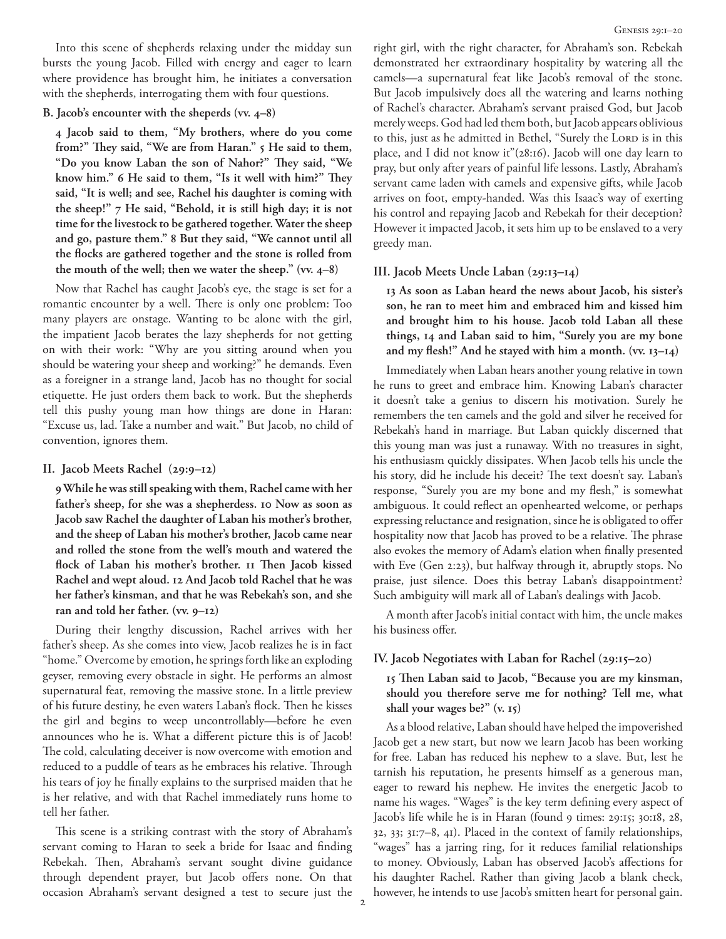Into this scene of shepherds relaxing under the midday sun bursts the young Jacob. Filled with energy and eager to learn where providence has brought him, he initiates a conversation with the shepherds, interrogating them with four questions.

#### **B. Jacob's encounter with the sheperds (vv. 4–8)**

**4 Jacob said to them, "My brothers, where do you come from?" They said, "We are from Haran." 5 He said to them, "Do you know Laban the son of Nahor?" They said, "We know him." 6 He said to them, "Is it well with him?" They said, "It is well; and see, Rachel his daughter is coming with the sheep!" 7 He said, "Behold, it is still high day; it is not time for the livestock to be gathered together. Water the sheep and go, pasture them." 8 But they said, "We cannot until all the flocks are gathered together and the stone is rolled from the mouth of the well; then we water the sheep." (vv. 4–8)**

Now that Rachel has caught Jacob's eye, the stage is set for a romantic encounter by a well. There is only one problem: Too many players are onstage. Wanting to be alone with the girl, the impatient Jacob berates the lazy shepherds for not getting on with their work: "Why are you sitting around when you should be watering your sheep and working?" he demands. Even as a foreigner in a strange land, Jacob has no thought for social etiquette. He just orders them back to work. But the shepherds tell this pushy young man how things are done in Haran: "Excuse us, lad. Take a number and wait." But Jacob, no child of convention, ignores them.

#### **II. Jacob Meets Rachel (29:9–12)**

**9 While he was still speaking with them, Rachel came with her father's sheep, for she was a shepherdess. 10 Now as soon as Jacob saw Rachel the daughter of Laban his mother's brother, and the sheep of Laban his mother's brother, Jacob came near and rolled the stone from the well's mouth and watered the flock of Laban his mother's brother. 11 Then Jacob kissed Rachel and wept aloud. 12 And Jacob told Rachel that he was her father's kinsman, and that he was Rebekah's son, and she ran and told her father. (vv. 9–12)**

During their lengthy discussion, Rachel arrives with her father's sheep. As she comes into view, Jacob realizes he is in fact "home." Overcome by emotion, he springs forth like an exploding geyser, removing every obstacle in sight. He performs an almost supernatural feat, removing the massive stone. In a little preview of his future destiny, he even waters Laban's flock. Then he kisses the girl and begins to weep uncontrollably—before he even announces who he is. What a different picture this is of Jacob! The cold, calculating deceiver is now overcome with emotion and reduced to a puddle of tears as he embraces his relative. Through his tears of joy he finally explains to the surprised maiden that he is her relative, and with that Rachel immediately runs home to tell her father.

This scene is a striking contrast with the story of Abraham's servant coming to Haran to seek a bride for Isaac and finding Rebekah. Then, Abraham's servant sought divine guidance through dependent prayer, but Jacob offers none. On that occasion Abraham's servant designed a test to secure just the right girl, with the right character, for Abraham's son. Rebekah demonstrated her extraordinary hospitality by watering all the camels—a supernatural feat like Jacob's removal of the stone. But Jacob impulsively does all the watering and learns nothing of Rachel's character. Abraham's servant praised God, but Jacob merely weeps. God had led them both, but Jacob appears oblivious to this, just as he admitted in Bethel, "Surely the LORD is in this place, and I did not know it"(28:16). Jacob will one day learn to pray, but only after years of painful life lessons. Lastly, Abraham's servant came laden with camels and expensive gifts, while Jacob arrives on foot, empty-handed. Was this Isaac's way of exerting his control and repaying Jacob and Rebekah for their deception? However it impacted Jacob, it sets him up to be enslaved to a very greedy man.

## **III. Jacob Meets Uncle Laban (29:13–14)**

**13 As soon as Laban heard the news about Jacob, his sister's son, he ran to meet him and embraced him and kissed him and brought him to his house. Jacob told Laban all these things, 14 and Laban said to him, "Surely you are my bone and my flesh!" And he stayed with him a month. (vv. 13–14)**

Immediately when Laban hears another young relative in town he runs to greet and embrace him. Knowing Laban's character it doesn't take a genius to discern his motivation. Surely he remembers the ten camels and the gold and silver he received for Rebekah's hand in marriage. But Laban quickly discerned that this young man was just a runaway. With no treasures in sight, his enthusiasm quickly dissipates. When Jacob tells his uncle the his story, did he include his deceit? The text doesn't say. Laban's response, "Surely you are my bone and my flesh," is somewhat ambiguous. It could reflect an openhearted welcome, or perhaps expressing reluctance and resignation, since he is obligated to offer hospitality now that Jacob has proved to be a relative. The phrase also evokes the memory of Adam's elation when finally presented with Eve (Gen 2:23), but halfway through it, abruptly stops. No praise, just silence. Does this betray Laban's disappointment? Such ambiguity will mark all of Laban's dealings with Jacob.

A month after Jacob's initial contact with him, the uncle makes his business offer.

## **IV. Jacob Negotiates with Laban for Rachel (29:15–20)**

**15 Then Laban said to Jacob, "Because you are my kinsman, should you therefore serve me for nothing? Tell me, what shall your wages be?" (v. 15)**

As a blood relative, Laban should have helped the impoverished Jacob get a new start, but now we learn Jacob has been working for free. Laban has reduced his nephew to a slave. But, lest he tarnish his reputation, he presents himself as a generous man, eager to reward his nephew. He invites the energetic Jacob to name his wages. "Wages" is the key term defining every aspect of Jacob's life while he is in Haran (found 9 times: 29:15; 30:18, 28, 32, 33; 31:7–8, 41). Placed in the context of family relationships, "wages" has a jarring ring, for it reduces familial relationships to money. Obviously, Laban has observed Jacob's affections for his daughter Rachel. Rather than giving Jacob a blank check, however, he intends to use Jacob's smitten heart for personal gain.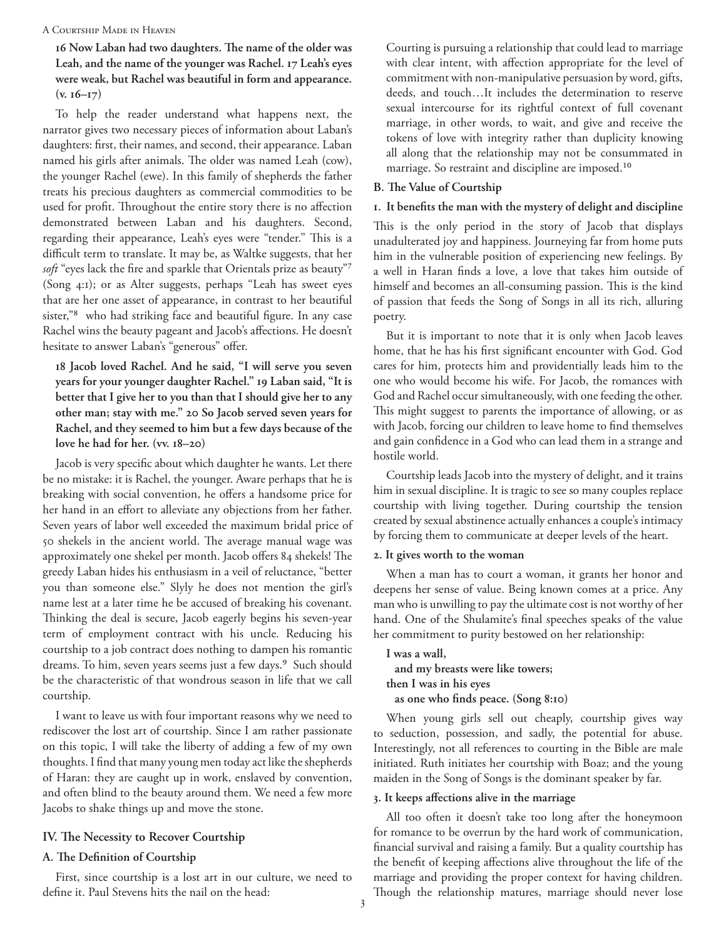## A Courtship Made in Heaven

**16 Now Laban had two daughters. The name of the older was Leah, and the name of the younger was Rachel. 17 Leah's eyes were weak, but Rachel was beautiful in form and appearance. (v. 16–17)**

To help the reader understand what happens next, the narrator gives two necessary pieces of information about Laban's daughters: first, their names, and second, their appearance. Laban named his girls after animals. The older was named Leah (cow), the younger Rachel (ewe). In this family of shepherds the father treats his precious daughters as commercial commodities to be used for profit. Throughout the entire story there is no affection demonstrated between Laban and his daughters. Second, regarding their appearance, Leah's eyes were "tender." This is a difficult term to translate. It may be, as Waltke suggests, that her *soft* "eyes lack the fire and sparkle that Orientals prize as beauty"7 (Song 4:1); or as Alter suggests, perhaps "Leah has sweet eyes that are her one asset of appearance, in contrast to her beautiful sister,"8 who had striking face and beautiful figure. In any case Rachel wins the beauty pageant and Jacob's affections. He doesn't hesitate to answer Laban's "generous" offer.

**18 Jacob loved Rachel. And he said, "I will serve you seven years for your younger daughter Rachel." 19 Laban said, "It is better that I give her to you than that I should give her to any other man; stay with me." 20 So Jacob served seven years for Rachel, and they seemed to him but a few days because of the love he had for her. (vv. 18–20)**

Jacob is very specific about which daughter he wants. Let there be no mistake: it is Rachel, the younger. Aware perhaps that he is breaking with social convention, he offers a handsome price for her hand in an effort to alleviate any objections from her father. Seven years of labor well exceeded the maximum bridal price of 50 shekels in the ancient world. The average manual wage was approximately one shekel per month. Jacob offers 84 shekels! The greedy Laban hides his enthusiasm in a veil of reluctance, "better you than someone else." Slyly he does not mention the girl's name lest at a later time he be accused of breaking his covenant. Thinking the deal is secure, Jacob eagerly begins his seven-year term of employment contract with his uncle. Reducing his courtship to a job contract does nothing to dampen his romantic dreams. To him, seven years seems just a few days.<sup>9</sup> Such should be the characteristic of that wondrous season in life that we call courtship.

I want to leave us with four important reasons why we need to rediscover the lost art of courtship. Since I am rather passionate on this topic, I will take the liberty of adding a few of my own thoughts. I find that many young men today act like the shepherds of Haran: they are caught up in work, enslaved by convention, and often blind to the beauty around them. We need a few more Jacobs to shake things up and move the stone.

## **IV. The Necessity to Recover Courtship**

## **A. The Definition of Courtship**

First, since courtship is a lost art in our culture, we need to define it. Paul Stevens hits the nail on the head:

Courting is pursuing a relationship that could lead to marriage with clear intent, with affection appropriate for the level of commitment with non-manipulative persuasion by word, gifts, deeds, and touch…It includes the determination to reserve sexual intercourse for its rightful context of full covenant marriage, in other words, to wait, and give and receive the tokens of love with integrity rather than duplicity knowing all along that the relationship may not be consummated in marriage. So restraint and discipline are imposed.10

#### **B. The Value of Courtship**

#### **1. It benefits the man with the mystery of delight and discipline**

This is the only period in the story of Jacob that displays unadulterated joy and happiness. Journeying far from home puts him in the vulnerable position of experiencing new feelings. By a well in Haran finds a love, a love that takes him outside of himself and becomes an all-consuming passion. This is the kind of passion that feeds the Song of Songs in all its rich, alluring poetry.

But it is important to note that it is only when Jacob leaves home, that he has his first significant encounter with God. God cares for him, protects him and providentially leads him to the one who would become his wife. For Jacob, the romances with God and Rachel occur simultaneously, with one feeding the other. This might suggest to parents the importance of allowing, or as with Jacob, forcing our children to leave home to find themselves and gain confidence in a God who can lead them in a strange and hostile world.

Courtship leads Jacob into the mystery of delight, and it trains him in sexual discipline. It is tragic to see so many couples replace courtship with living together. During courtship the tension created by sexual abstinence actually enhances a couple's intimacy by forcing them to communicate at deeper levels of the heart.

## **2. It gives worth to the woman**

When a man has to court a woman, it grants her honor and deepens her sense of value. Being known comes at a price. Any man who is unwilling to pay the ultimate cost is not worthy of her hand. One of the Shulamite's final speeches speaks of the value her commitment to purity bestowed on her relationship:

**I was a wall, and my breasts were like towers; then I was in his eyes as one who finds peace. (Song 8:10)**

When young girls sell out cheaply, courtship gives way to seduction, possession, and sadly, the potential for abuse. Interestingly, not all references to courting in the Bible are male initiated. Ruth initiates her courtship with Boaz; and the young maiden in the Song of Songs is the dominant speaker by far.

## **3. It keeps affections alive in the marriage**

All too often it doesn't take too long after the honeymoon for romance to be overrun by the hard work of communication, financial survival and raising a family. But a quality courtship has the benefit of keeping affections alive throughout the life of the marriage and providing the proper context for having children. Though the relationship matures, marriage should never lose